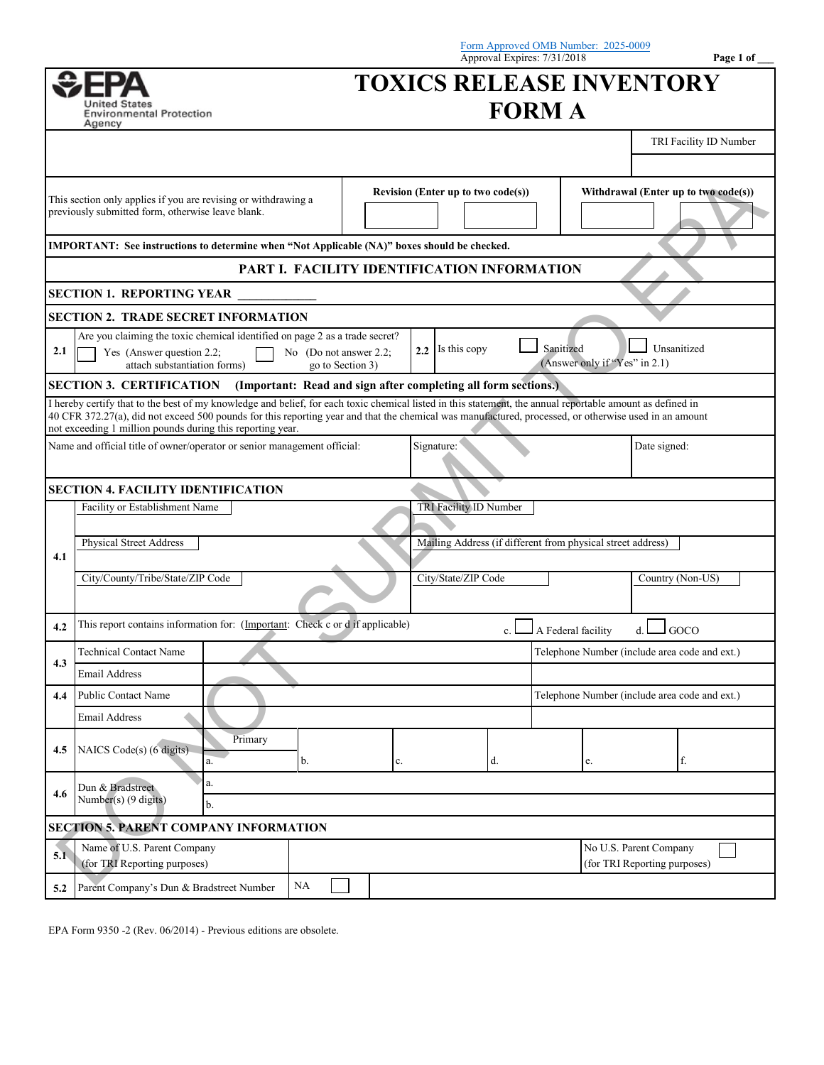|                                                                                                                                                                                                                                                                                                                                                                                   |                                                                                                                                          |                                                                |                                               | Form Approved OMB Number: 2025-0009<br>Approval Expires: 7/31/2018 |                                            | Page 1 of                                              |  |  |
|-----------------------------------------------------------------------------------------------------------------------------------------------------------------------------------------------------------------------------------------------------------------------------------------------------------------------------------------------------------------------------------|------------------------------------------------------------------------------------------------------------------------------------------|----------------------------------------------------------------|-----------------------------------------------|--------------------------------------------------------------------|--------------------------------------------|--------------------------------------------------------|--|--|
|                                                                                                                                                                                                                                                                                                                                                                                   |                                                                                                                                          |                                                                |                                               | <b>TOXICS RELEASE INVENTORY</b>                                    |                                            |                                                        |  |  |
|                                                                                                                                                                                                                                                                                                                                                                                   | Jnited States<br><b>Environmental Protection</b><br>Agency                                                                               |                                                                |                                               | <b>FORM A</b>                                                      |                                            |                                                        |  |  |
|                                                                                                                                                                                                                                                                                                                                                                                   |                                                                                                                                          |                                                                |                                               |                                                                    |                                            | TRI Facility ID Number                                 |  |  |
|                                                                                                                                                                                                                                                                                                                                                                                   |                                                                                                                                          |                                                                |                                               |                                                                    |                                            |                                                        |  |  |
| This section only applies if you are revising or withdrawing a<br>previously submitted form, otherwise leave blank.                                                                                                                                                                                                                                                               |                                                                                                                                          | Revision (Enter up to two code(s))                             |                                               |                                                                    | Withdrawal (Enter up to two code(s))       |                                                        |  |  |
|                                                                                                                                                                                                                                                                                                                                                                                   | IMPORTANT: See instructions to determine when "Not Applicable (NA)" boxes should be checked.                                             |                                                                |                                               |                                                                    |                                            |                                                        |  |  |
| PART I. FACILITY IDENTIFICATION INFORMATION                                                                                                                                                                                                                                                                                                                                       |                                                                                                                                          |                                                                |                                               |                                                                    |                                            |                                                        |  |  |
| SECTION 1. REPORTING YEAR                                                                                                                                                                                                                                                                                                                                                         |                                                                                                                                          |                                                                |                                               |                                                                    |                                            |                                                        |  |  |
| <b>SECTION 2. TRADE SECRET INFORMATION</b>                                                                                                                                                                                                                                                                                                                                        |                                                                                                                                          |                                                                |                                               |                                                                    |                                            |                                                        |  |  |
| 2.1                                                                                                                                                                                                                                                                                                                                                                               | Are you claiming the toxic chemical identified on page 2 as a trade secret?<br>Yes (Answer question 2.2;<br>attach substantiation forms) | No (Do not answer $2.2$ ;<br>go to Section 3)                  | 2.2 Is this copy                              |                                                                    | Sanitized<br>(Answer only if "Yes" in 2.1) | Unsanitized                                            |  |  |
|                                                                                                                                                                                                                                                                                                                                                                                   | <b>SECTION 3. CERTIFICATION</b>                                                                                                          | (Important: Read and sign after completing all form sections.) |                                               |                                                                    |                                            |                                                        |  |  |
| I hereby certify that to the best of my knowledge and belief, for each toxic chemical listed in this statement, the annual reportable amount as defined in<br>40 CFR 372.27(a), did not exceed 500 pounds for this reporting year and that the chemical was manufactured, processed, or otherwise used in an amount<br>not exceeding 1 million pounds during this reporting year. |                                                                                                                                          |                                                                |                                               |                                                                    |                                            |                                                        |  |  |
|                                                                                                                                                                                                                                                                                                                                                                                   | Name and official title of owner/operator or senior management official:                                                                 |                                                                | Signature:                                    |                                                                    |                                            | Date signed:                                           |  |  |
|                                                                                                                                                                                                                                                                                                                                                                                   | <b>SECTION 4. FACILITY IDENTIFICATION</b>                                                                                                |                                                                |                                               |                                                                    |                                            |                                                        |  |  |
|                                                                                                                                                                                                                                                                                                                                                                                   | Facility or Establishment Name                                                                                                           |                                                                |                                               | TRI Facility ID Number                                             |                                            |                                                        |  |  |
|                                                                                                                                                                                                                                                                                                                                                                                   | <b>Physical Street Address</b>                                                                                                           |                                                                |                                               | Mailing Address (if different from physical street address)        |                                            |                                                        |  |  |
| 4.1                                                                                                                                                                                                                                                                                                                                                                               |                                                                                                                                          |                                                                |                                               |                                                                    |                                            |                                                        |  |  |
|                                                                                                                                                                                                                                                                                                                                                                                   | City/County/Tribe/State/ZIP Code                                                                                                         |                                                                |                                               | City/State/ZIP Code                                                |                                            | Country (Non-US)                                       |  |  |
| 4.2                                                                                                                                                                                                                                                                                                                                                                               | This report contains information for: (Important: Check c or d if applicable)                                                            |                                                                |                                               |                                                                    | $\Box$ A Federal facility                  | GOCO<br>d.                                             |  |  |
| <b>Technical Contact Name</b>                                                                                                                                                                                                                                                                                                                                                     |                                                                                                                                          |                                                                | Telephone Number (include area code and ext.) |                                                                    |                                            |                                                        |  |  |
| 4.3                                                                                                                                                                                                                                                                                                                                                                               | Email Address                                                                                                                            |                                                                |                                               |                                                                    |                                            |                                                        |  |  |
| 4.4                                                                                                                                                                                                                                                                                                                                                                               | <b>Public Contact Name</b>                                                                                                               |                                                                |                                               |                                                                    |                                            | Telephone Number (include area code and ext.)          |  |  |
|                                                                                                                                                                                                                                                                                                                                                                                   | <b>Email Address</b>                                                                                                                     |                                                                |                                               |                                                                    |                                            |                                                        |  |  |
| 4.5                                                                                                                                                                                                                                                                                                                                                                               | Primary<br>NAICS Code(s) (6 digits)<br>a.                                                                                                | b.                                                             | c.                                            | d.                                                                 | e.                                         | f.                                                     |  |  |
|                                                                                                                                                                                                                                                                                                                                                                                   | a.<br>Dun & Bradstreet                                                                                                                   |                                                                |                                               |                                                                    |                                            |                                                        |  |  |
| 4.6                                                                                                                                                                                                                                                                                                                                                                               | Number(s) $(9 \text{ digits})$<br>b.                                                                                                     |                                                                |                                               |                                                                    |                                            |                                                        |  |  |
|                                                                                                                                                                                                                                                                                                                                                                                   | <b>SECTION 5. PARENT COMPANY INFORMATION</b>                                                                                             |                                                                |                                               |                                                                    |                                            |                                                        |  |  |
| 5.1                                                                                                                                                                                                                                                                                                                                                                               | Name of U.S. Parent Company<br>(for TRI Reporting purposes)                                                                              |                                                                |                                               |                                                                    |                                            | No U.S. Parent Company<br>(for TRI Reporting purposes) |  |  |
| 5.2                                                                                                                                                                                                                                                                                                                                                                               | Parent Company's Dun & Bradstreet Number                                                                                                 | NA                                                             |                                               |                                                                    |                                            |                                                        |  |  |

EPA Form 9350 -2 (Rev. 06/2014) - Previous editions are obsolete.